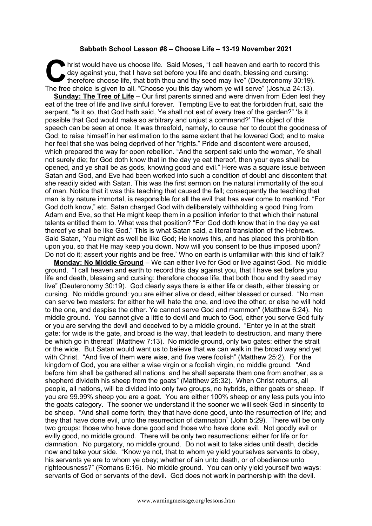## **Sabbath School Lesson #8 – Choose Life – 13-19 November 2021**

hrist would have us choose life. Said Moses, "I call heaven and earth to record this day against you, that I have set before you life and death, blessing and cursing: therefore choose life, that both thou and thy seed may live" (Deuteronomy 30:19). The free choice is given to all. "Choose you this day whom ye will serve" (Joshua 24:13). C day<br>The fine

**Sunday: The Tree of Life** – Our first parents sinned and were driven from Eden lest they eat of the tree of life and live sinful forever. Tempting Eve to eat the forbidden fruit, said the serpent, "Is it so, that God hath said, Ye shall not eat of every tree of the garden?" 'Is it possible that God would make so arbitrary and unjust a command?' The object of this speech can be seen at once. It was threefold, namely, to cause her to doubt the goodness of God; to raise himself in her estimation to the same extent that he lowered God; and to make her feel that she was being deprived of her "rights." Pride and discontent were aroused, which prepared the way for open rebellion. "And the serpent said unto the woman, Ye shall not surely die; for God doth know that in the day ye eat thereof, then your eyes shall be opened, and ye shall be as gods, knowing good and evil." Here was a square issue between Satan and God, and Eve had been worked into such a condition of doubt and discontent that she readily sided with Satan. This was the first sermon on the natural immortality of the soul of man. Notice that it was this teaching that caused the fall; consequently the teaching that man is by nature immortal, is responsible for all the evil that has ever come to mankind. "For God doth know," etc. Satan charged God with deliberately withholding a good thing from Adam and Eve, so that He might keep them in a position inferior to that which their natural talents entitled them to. What was that position? "For God doth know that in the day ye eat thereof ye shall be like God." This is what Satan said, a literal translation of the Hebrews. Said Satan, 'You might as well be like God; He knows this, and has placed this prohibition upon you, so that He may keep you down. Now will you consent to be thus imposed upon? Do not do it; assert your rights and be free.' Who on earth is unfamiliar with this kind of talk?

**Monday: No Middle Ground** – We can either live for God or live against God. No middle ground. "I call heaven and earth to record this day against you, that I have set before you life and death, blessing and cursing: therefore choose life, that both thou and thy seed may live" (Deuteronomy 30:19). God clearly says there is either life or death, either blessing or cursing. No middle ground: you are either alive or dead, either blessed or cursed. "No man can serve two masters: for either he will hate the one, and love the other; or else he will hold to the one, and despise the other. Ye cannot serve God and mammon" (Matthew 6:24). No middle ground. You cannot give a little to devil and much to God, either you serve God fully or you are serving the devil and deceived to by a middle ground. "Enter ye in at the strait gate: for wide is the gate, and broad is the way, that leadeth to destruction, and many there be which go in thereat" (Matthew 7:13). No middle ground, only two gates: either the strait or the wide. But Satan would want us to believe that we can walk in the broad way and yet with Christ. "And five of them were wise, and five were foolish" (Matthew 25:2). For the kingdom of God, you are either a wise virgin or a foolish virgin, no middle ground. "And before him shall be gathered all nations: and he shall separate them one from another, as a shepherd divideth his sheep from the goats" (Matthew 25:32). When Christ returns, all people, all nations, will be divided into only two groups, no hybrids, either goats or sheep. If you are 99.99% sheep you are a goat. You are either 100% sheep or any less puts you into the goats category. The sooner we understand it the sooner we will seek God in sincerity to be sheep. "And shall come forth; they that have done good, unto the resurrection of life; and they that have done evil, unto the resurrection of damnation" (John 5:29). There will be only two groups: those who have done good and those who have done evil. Not goodly evil or evilly good, no middle ground. There will be only two resurrections: either for life or for damnation. No purgatory, no middle ground. Do not wait to take sides until death, decide now and take your side. "Know ye not, that to whom ye yield yourselves servants to obey, his servants ye are to whom ye obey; whether of sin unto death, or of obedience unto righteousness?" (Romans 6:16). No middle ground. You can only yield yourself two ways: servants of God or servants of the devil. God does not work in partnership with the devil.